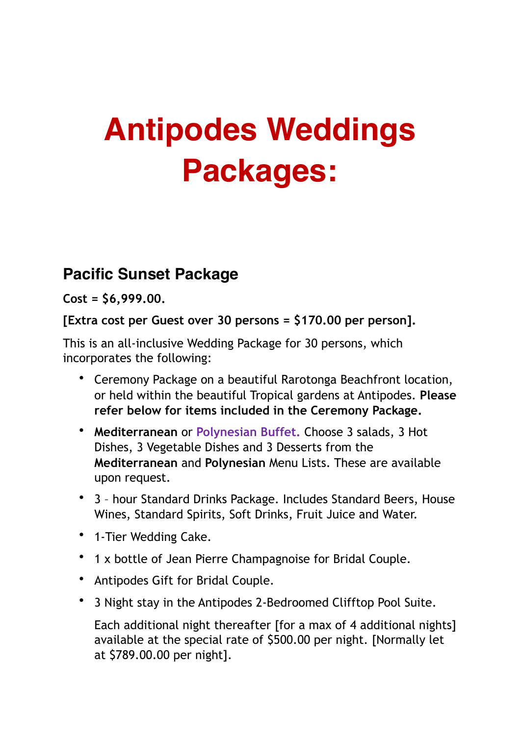# **Antipodes Weddings Packages:**

# **Pacific Sunset Package**

**Cost = \$6,999.00.** 

**[Extra cost per Guest over 30 persons = \$170.00 per person].** 

This is an all-inclusive Wedding Package for 30 persons, which incorporates the following:

- Ceremony Package on a beautiful Rarotonga Beachfront location, or held within the beautiful Tropical gardens at Antipodes. **Please refer below for items included in the Ceremony Package.**
- **Mediterranean** or **Polynesian Buffet.** Choose 3 salads, 3 Hot Dishes, 3 Vegetable Dishes and 3 Desserts from the **Mediterranean** and **Polynesian** Menu Lists. These are available upon request.
- 3 hour Standard Drinks Package. Includes Standard Beers, House Wines, Standard Spirits, Soft Drinks, Fruit Juice and Water.
- 1-Tier Wedding Cake.
- 1 x bottle of Jean Pierre Champagnoise for Bridal Couple.
- Antipodes Gift for Bridal Couple.
- 3 Night stay in the Antipodes 2-Bedroomed Clifftop Pool Suite.

Each additional night thereafter [for a max of 4 additional nights] available at the special rate of \$500.00 per night. [Normally let at \$789.00.00 per night].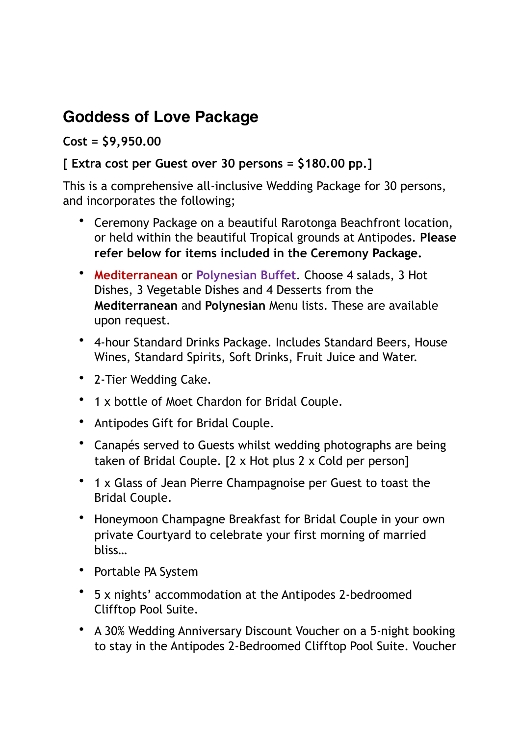# **Goddess of Love Package**

# **Cost = \$9,950.00**

# **[ Extra cost per Guest over 30 persons = \$180.00 pp.]**

This is a comprehensive all-inclusive Wedding Package for 30 persons, and incorporates the following;

- Ceremony Package on a beautiful Rarotonga Beachfront location, or held within the beautiful Tropical grounds at Antipodes. **Please refer below for items included in the Ceremony Package.**
- **Mediterranean** or **Polynesian Buffet**. Choose 4 salads, 3 Hot Dishes, 3 Vegetable Dishes and 4 Desserts from the **Mediterranean** and **Polynesian** Menu lists. These are available upon request.
- 4-hour Standard Drinks Package. Includes Standard Beers, House Wines, Standard Spirits, Soft Drinks, Fruit Juice and Water.
- 2-Tier Wedding Cake.
- 1 x bottle of Moet Chardon for Bridal Couple.
- Antipodes Gift for Bridal Couple.
- Canapés served to Guests whilst wedding photographs are being taken of Bridal Couple. [2 x Hot plus 2 x Cold per person]
- 1 x Glass of Jean Pierre Champagnoise per Guest to toast the Bridal Couple.
- Honeymoon Champagne Breakfast for Bridal Couple in your own private Courtyard to celebrate your first morning of married bliss…
- Portable PA System
- 5 x nights' accommodation at the Antipodes 2-bedroomed Clifftop Pool Suite.
- A 30% Wedding Anniversary Discount Voucher on a 5-night booking to stay in the Antipodes 2-Bedroomed Clifftop Pool Suite. Voucher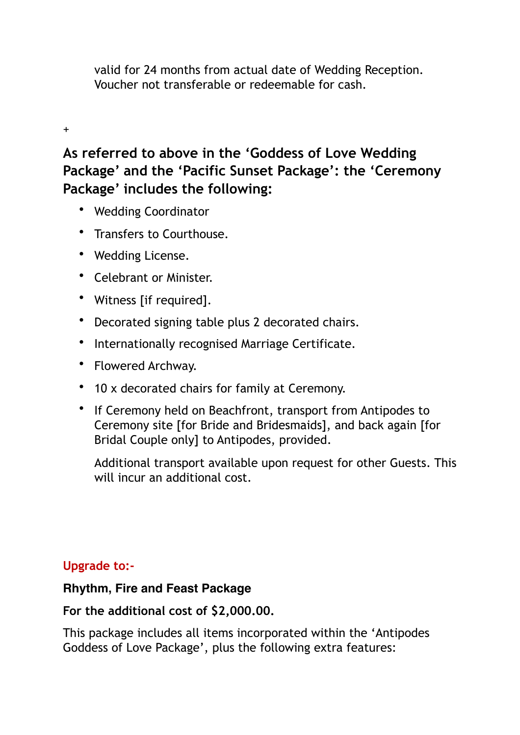valid for 24 months from actual date of Wedding Reception. Voucher not transferable or redeemable for cash.

#### +

# **As referred to above in the 'Goddess of Love Wedding Package' and the 'Pacific Sunset Package': the 'Ceremony Package' includes the following:**

- Wedding Coordinator
- Transfers to Courthouse.
- Wedding License.
- Celebrant or Minister.
- Witness [if required].
- Decorated signing table plus 2 decorated chairs.
- Internationally recognised Marriage Certificate.
- Flowered Archway.
- 10 x decorated chairs for family at Ceremony.
- If Ceremony held on Beachfront, transport from Antipodes to Ceremony site [for Bride and Bridesmaids], and back again [for Bridal Couple only] to Antipodes, provided.

Additional transport available upon request for other Guests. This will incur an additional cost.

#### **Upgrade to:-**

#### **Rhythm, Fire and Feast Package**

## **For the additional cost of \$2,000.00.**

This package includes all items incorporated within the 'Antipodes Goddess of Love Package', plus the following extra features: